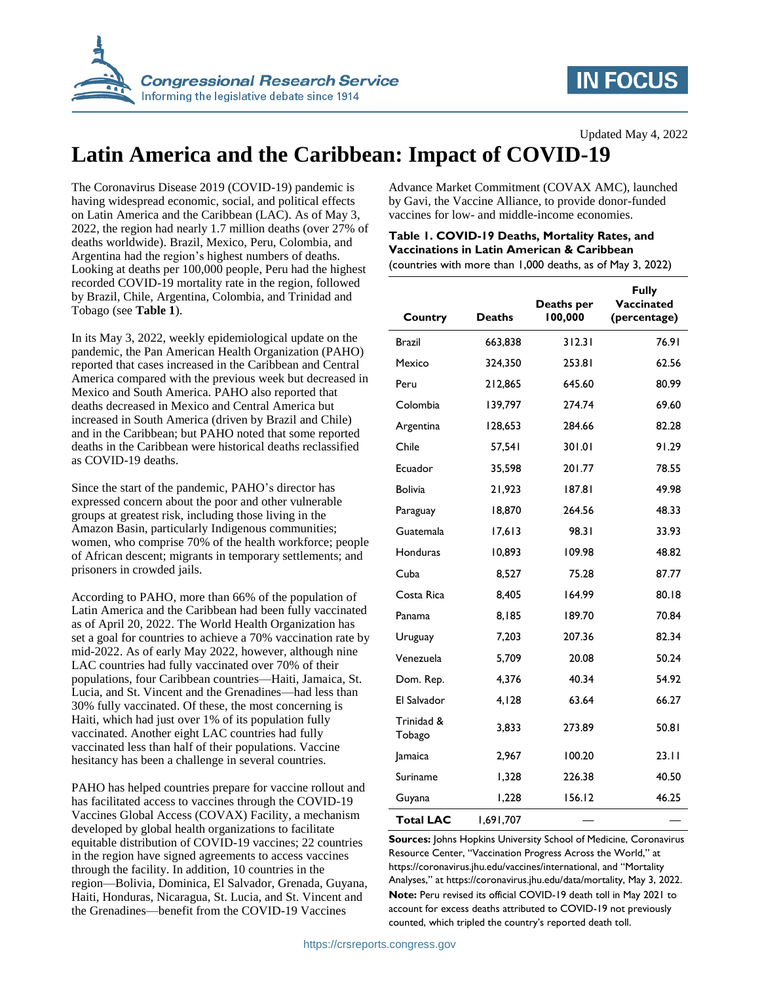

## **IN FOCUS**

# **Latin America and the Caribbean: Impact of COVID-19**

The Coronavirus Disease 2019 (COVID-19) pandemic is having widespread economic, social, and political effects on Latin America and the Caribbean (LAC). As of May 3, 2022, the region had nearly 1.7 million deaths (over 27% of deaths worldwide). Brazil, Mexico, Peru, Colombia, and Argentina had the region's highest numbers of deaths. Looking at deaths per 100,000 people, Peru had the highest recorded COVID-19 mortality rate in the region, followed by Brazil, Chile, Argentina, Colombia, and Trinidad and Tobago (see **[Table 1](#page-0-0)**).

In its May 3, 2022, weekly epidemiological update on the pandemic, the Pan American Health Organization (PAHO) reported that cases increased in the Caribbean and Central America compared with the previous week but decreased in Mexico and South America. PAHO also reported that deaths decreased in Mexico and Central America but increased in South America (driven by Brazil and Chile) and in the Caribbean; but PAHO noted that some reported deaths in the Caribbean were historical deaths reclassified as COVID-19 deaths.

Since the start of the pandemic, PAHO's director has expressed concern about the poor and other vulnerable groups at greatest risk, including those living in the Amazon Basin, particularly Indigenous communities; women, who comprise 70% of the health workforce; people of African descent; migrants in temporary settlements; and prisoners in crowded jails.

According to PAHO, more than 66% of the population of Latin America and the Caribbean had been fully vaccinated as of April 20, 2022. The World Health Organization has set a goal for countries to achieve a 70% vaccination rate by mid-2022. As of early May 2022, however, although nine LAC countries had fully vaccinated over 70% of their populations, four Caribbean countries—Haiti, Jamaica, St. Lucia, and St. Vincent and the Grenadines—had less than 30% fully vaccinated. Of these, the most concerning is Haiti, which had just over 1% of its population fully vaccinated. Another eight LAC countries had fully vaccinated less than half of their populations. Vaccine hesitancy has been a challenge in several countries.

PAHO has helped countries prepare for vaccine rollout and has facilitated access to vaccines through the COVID-19 Vaccines Global Access (COVAX) Facility, a mechanism developed by global health organizations to facilitate equitable distribution of COVID-19 vaccines; 22 countries in the region have signed agreements to access vaccines through the facility. In addition, 10 countries in the region—Bolivia, Dominica, El Salvador, Grenada, Guyana, Haiti, Honduras, Nicaragua, St. Lucia, and St. Vincent and the Grenadines—benefit from the COVID-19 Vaccines

Advance Market Commitment (COVAX AMC), launched by Gavi, the Vaccine Alliance, to provide donor-funded vaccines for low- and middle-income economies.

### <span id="page-0-0"></span>**Table 1. COVID-19 Deaths, Mortality Rates, and Vaccinations in Latin American & Caribbean**

(countries with more than 1,000 deaths, as of May 3, 2022)

| Country              | <b>Deaths</b> | Deaths per<br>100,000 | <b>Fully</b><br>Vaccinated<br>(percentage) |
|----------------------|---------------|-----------------------|--------------------------------------------|
| Brazil               | 663,838       | 312.31                | 76.91                                      |
| Mexico               | 324,350       | 253.81                | 62.56                                      |
| Peru                 | 212,865       | 645.60                | 80.99                                      |
| Colombia             | 139,797       | 274.74                | 69.60                                      |
| Argentina            | 128,653       | 284.66                | 82.28                                      |
| Chile                | 57,541        | 301.01                | 91.29                                      |
| Ecuador              | 35,598        | 201.77                | 78.55                                      |
| <b>Bolivia</b>       | 21,923        | 187.81                | 49.98                                      |
| Paraguay             | 18,870        | 264.56                | 48.33                                      |
| Guatemala            | 17,613        | 98.31                 | 33.93                                      |
| Honduras             | 10,893        | 109.98                | 48.82                                      |
| Cuba                 | 8,527         | 75.28                 | 87.77                                      |
| Costa Rica           | 8,405         | 164.99                | 80.18                                      |
| Panama               | 8,185         | 189.70                | 70.84                                      |
| Uruguay              | 7,203         | 207.36                | 82.34                                      |
| Venezuela            | 5,709         | 20.08                 | 50.24                                      |
| Dom. Rep.            | 4,376         | 40.34                 | 54.92                                      |
| El Salvador          | 4,128         | 63.64                 | 66.27                                      |
| Trinidad &<br>Tobago | 3,833         | 273.89                | 50.81                                      |
| Jamaica              | 2,967         | 100.20                | 23.11                                      |
| Suriname             | 1,328         | 226.38                | 40.50                                      |
| Guyana               | 1,228         | 156.12                | 46.25                                      |
| <b>Total LAC</b>     | 1,691,707     |                       |                                            |

**Sources:** Johns Hopkins University School of Medicine, Coronavirus Resource Center, "Vaccination Progress Across the World," at https://coronavirus.jhu.edu/vaccines/international, and "Mortality Analyses," at https://coronavirus.jhu.edu/data/mortality, May 3, 2022. **Note:** Peru revised its official COVID-19 death toll in May 2021 to account for excess deaths attributed to COVID-19 not previously counted, which tripled the country's reported death toll.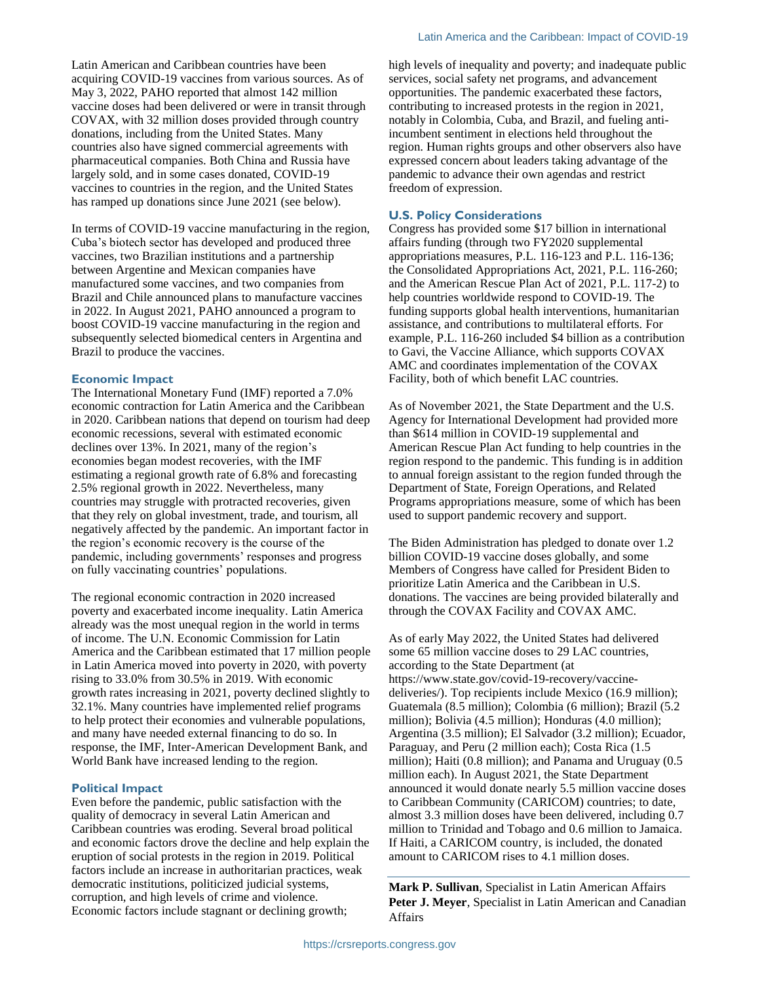Latin American and Caribbean countries have been acquiring COVID-19 vaccines from various sources. As of May 3, 2022, PAHO reported that almost 142 million vaccine doses had been delivered or were in transit through COVAX, with 32 million doses provided through country donations, including from the United States. Many countries also have signed commercial agreements with pharmaceutical companies. Both China and Russia have largely sold, and in some cases donated, COVID-19 vaccines to countries in the region, and the United States has ramped up donations since June 2021 (see below).

In terms of COVID-19 vaccine manufacturing in the region, Cuba's biotech sector has developed and produced three vaccines, two Brazilian institutions and a partnership between Argentine and Mexican companies have manufactured some vaccines, and two companies from Brazil and Chile announced plans to manufacture vaccines in 2022. In August 2021, PAHO announced a program to boost COVID-19 vaccine manufacturing in the region and subsequently selected biomedical centers in Argentina and Brazil to produce the vaccines.

#### **Economic Impact**

The International Monetary Fund (IMF) reported a 7.0% economic contraction for Latin America and the Caribbean in 2020. Caribbean nations that depend on tourism had deep economic recessions, several with estimated economic declines over 13%. In 2021, many of the region's economies began modest recoveries, with the IMF estimating a regional growth rate of 6.8% and forecasting 2.5% regional growth in 2022. Nevertheless, many countries may struggle with protracted recoveries, given that they rely on global investment, trade, and tourism, all negatively affected by the pandemic. An important factor in the region's economic recovery is the course of the pandemic, including governments' responses and progress on fully vaccinating countries' populations.

The regional economic contraction in 2020 increased poverty and exacerbated income inequality. Latin America already was the most unequal region in the world in terms of income. The U.N. Economic Commission for Latin America and the Caribbean estimated that 17 million people in Latin America moved into poverty in 2020, with poverty rising to 33.0% from 30.5% in 2019. With economic growth rates increasing in 2021, poverty declined slightly to 32.1%. Many countries have implemented relief programs to help protect their economies and vulnerable populations, and many have needed external financing to do so. In response, the IMF, Inter-American Development Bank, and World Bank have increased lending to the region.

#### **Political Impact**

Even before the pandemic, public satisfaction with the quality of democracy in several Latin American and Caribbean countries was eroding. Several broad political and economic factors drove the decline and help explain the eruption of social protests in the region in 2019. Political factors include an increase in authoritarian practices, weak democratic institutions, politicized judicial systems, corruption, and high levels of crime and violence. Economic factors include stagnant or declining growth;

high levels of inequality and poverty; and inadequate public services, social safety net programs, and advancement opportunities. The pandemic exacerbated these factors, contributing to increased protests in the region in 2021, notably in Colombia, Cuba, and Brazil, and fueling antiincumbent sentiment in elections held throughout the region. Human rights groups and other observers also have expressed concern about leaders taking advantage of the pandemic to advance their own agendas and restrict freedom of expression.

#### **U.S. Policy Considerations**

Congress has provided some \$17 billion in international affairs funding (through two FY2020 supplemental appropriations measures, P.L. 116-123 and P.L. 116-136; the Consolidated Appropriations Act, 2021, P.L. 116-260; and the American Rescue Plan Act of 2021, P.L. 117-2) to help countries worldwide respond to COVID-19. The funding supports global health interventions, humanitarian assistance, and contributions to multilateral efforts. For example, P.L. 116-260 included \$4 billion as a contribution to Gavi, the Vaccine Alliance, which supports COVAX AMC and coordinates implementation of the COVAX Facility, both of which benefit LAC countries.

As of November 2021, the State Department and the U.S. Agency for International Development had provided more than \$614 million in COVID-19 supplemental and American Rescue Plan Act funding to help countries in the region respond to the pandemic. This funding is in addition to annual foreign assistant to the region funded through the Department of State, Foreign Operations, and Related Programs appropriations measure, some of which has been used to support pandemic recovery and support.

The Biden Administration has pledged to donate over 1.2 billion COVID-19 vaccine doses globally, and some Members of Congress have called for President Biden to prioritize Latin America and the Caribbean in U.S. donations. The vaccines are being provided bilaterally and through the COVAX Facility and COVAX AMC.

As of early May 2022, the United States had delivered some 65 million vaccine doses to 29 LAC countries, according to the State Department (at https://www.state.gov/covid-19-recovery/vaccinedeliveries/). Top recipients include Mexico (16.9 million); Guatemala (8.5 million); Colombia (6 million); Brazil (5.2 million); Bolivia (4.5 million); Honduras (4.0 million); Argentina (3.5 million); El Salvador (3.2 million); Ecuador, Paraguay, and Peru (2 million each); Costa Rica (1.5 million); Haiti (0.8 million); and Panama and Uruguay (0.5 million each). In August 2021, the State Department announced it would donate nearly 5.5 million vaccine doses to Caribbean Community (CARICOM) countries; to date, almost 3.3 million doses have been delivered, including 0.7 million to Trinidad and Tobago and 0.6 million to Jamaica. If Haiti, a CARICOM country, is included, the donated amount to CARICOM rises to 4.1 million doses.

**Mark P. Sullivan**, Specialist in Latin American Affairs **Peter J. Meyer**, Specialist in Latin American and Canadian Affairs